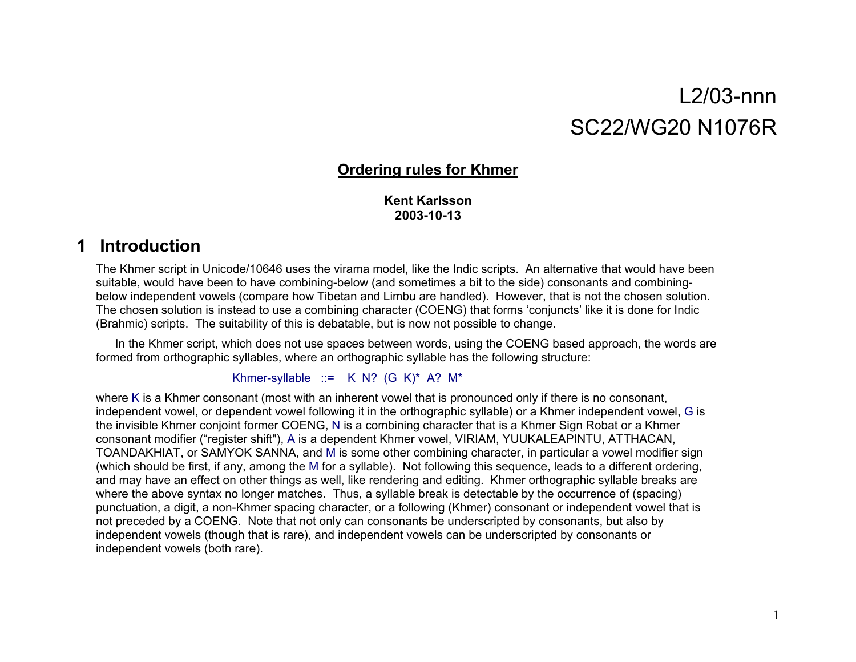# L2/03-nnnSC22/WG20 N1076R

# **Ordering rules for Khmer**

# **Kent Karlsson2003-10-13**

# **1 Introduction**

The Khmer script in Unicode/10646 uses the virama model, like the Indic scripts. An alternative that would have been suitable, would have been to have combining-below (and sometimes a bit to the side) consonants and combiningbelow independent vowels (compare how Tibetan and Limbu are handled). However, that is not the chosen solution. The chosen solution is instead to use a combining character (COENG) that forms 'conjuncts' like it is done for Indic (Brahmic) scripts. The suitability of this is debatable, but is now not possible to change.

In the Khmer script, which does not use spaces between words, using the COENG based approach, the words are formed from orthographic syllables, where an orthographic syllable has the following structure:

# Khmer-syllable  $::= K N? (G K)<sup>*</sup> A? M*$

where K is a Khmer consonant (most with an inherent vowel that is pronounced only if there is no consonant, independent vowel, or dependent vowel following it in the orthographic syllable) or a Khmer independent vowel, G is the invisible Khmer conjoint former COENG, N is a combining character that is a Khmer Sign Robat or a Khmer consonant modifier ("register shift"), A is a dependent Khmer vowel, VIRIAM, YUUKALEAPINTU, ATTHACAN, TOANDAKHIAT, or SAMYOK SANNA, and M is some other combining character, in particular a vowel modifier sign (which should be first, if any, among the M for a syllable). Not following this sequence, leads to a different ordering, and may have an effect on other things as well, like rendering and editing. Khmer orthographic syllable breaks are where the above syntax no longer matches. Thus, a syllable break is detectable by the occurrence of (spacing) punctuation, a digit, a non-Khmer spacing character, or a following (Khmer) consonant or independent vowel that is not preceded by a COENG. Note that not only can consonants be underscripted by consonants, but also by independent vowels (though that is rare), and independent vowels can be underscripted by consonants or independent vowels (both rare).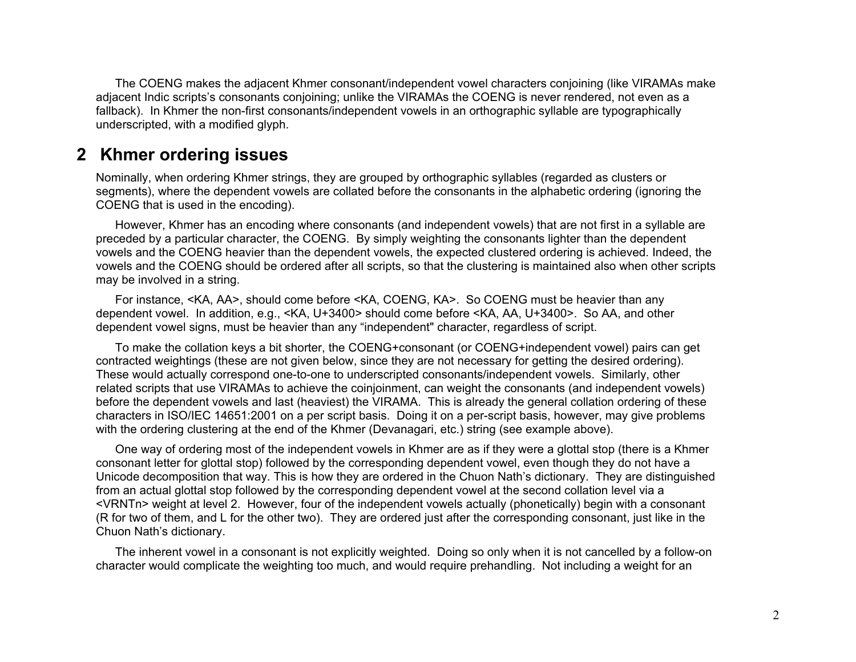The COENG makes the adjacent Khmer consonant/independent vowel characters conjoining (like VIRAMAs make adjacent Indic scripts's consonants conjoining; unlike the VIRAMAs the COENG is never rendered, not even as a fallback). In Khmer the non-first consonants/independent vowels in an orthographic syllable are typographically underscripted, with a modified glyph.

# **2 Khmer ordering issues**

Nominally, when ordering Khmer strings, they are grouped by orthographic syllables (regarded as clusters or segments), where the dependent vowels are collated before the consonants in the alphabetic ordering (ignoring the COENG that is used in the encoding).

However, Khmer has an encoding where consonants (and independent vowels) that are not first in a syllable are preceded by a particular character, the COENG. By simply weighting the consonants lighter than the dependent vowels and the COENG heavier than the dependent vowels, the expected clustered ordering is achieved. Indeed, the vowels and the COENG should be ordered after all scripts, so that the clustering is maintained also when other scripts may be involved in a string.

For instance, <KA, AA>, should come before <KA, COENG, KA>. So COENG must be heavier than any dependent vowel. In addition, e.g., <KA, U+3400> should come before <KA, AA, U+3400>. So AA, and other dependent vowel signs, must be heavier than any "independent" character, regardless of script.

To make the collation keys a bit shorter, the COENG+consonant (or COENG+independent vowel) pairs can get contracted weightings (these are not given below, since they are not necessary for getting the desired ordering). These would actually correspond one-to-one to underscripted consonants/independent vowels. Similarly, other related scripts that use VIRAMAs to achieve the coinjoinment, can weight the consonants (and independent vowels) before the dependent vowels and last (heaviest) the VIRAMA. This is already the general collation ordering of these characters in ISO/IEC 14651:2001 on a per script basis. Doing it on a per-script basis, however, may give problems with the ordering clustering at the end of the Khmer (Devanagari, etc.) string (see example above).

One way of ordering most of the independent vowels in Khmer are as if they were a glottal stop (there is a Khmer consonant letter for glottal stop) followed by the corresponding dependent vowel, even though they do not have a Unicode decomposition that way. This is how they are ordered in the Chuon Nath's dictionary. They are distinguished from an actual glottal stop followed by the corresponding dependent vowel at the second collation level via a <VRNTn> weight at level 2. However, four of the independent vowels actually (phonetically) begin with a consonant (R for two of them, and L for the other two). They are ordered just after the corresponding consonant, just like in the Chuon Nath's dictionary.

The inherent vowel in a consonant is not explicitly weighted. Doing so only when it is not cancelled by a follow-on character would complicate the weighting too much, and would require prehandling. Not including a weight for an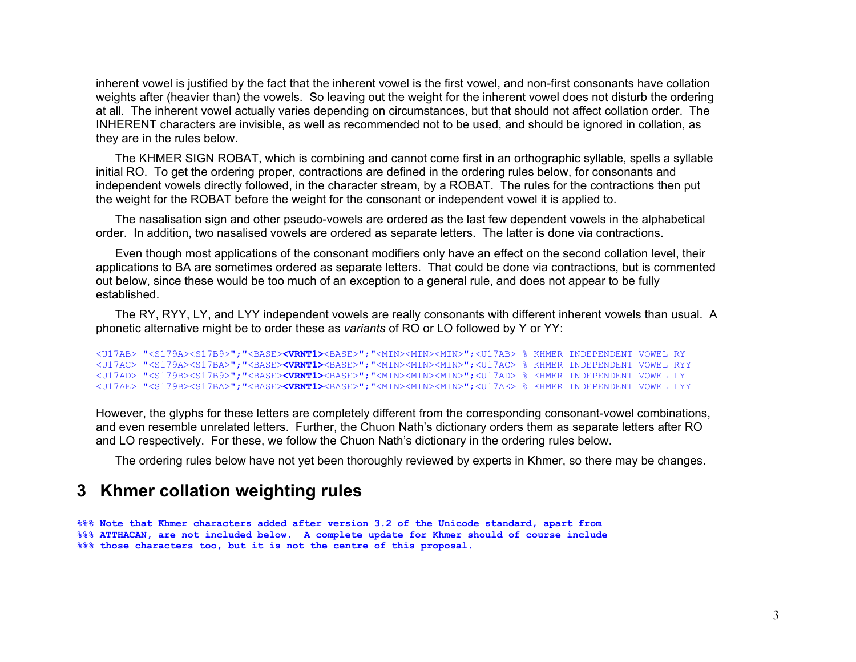inherent vowel is justified by the fact that the inherent vowel is the first vowel, and non-first consonants have collation weights after (heavier than) the vowels. So leaving out the weight for the inherent vowel does not disturb the ordering at all. The inherent vowel actually varies depending on circumstances, but that should not affect collation order. The INHERENT characters are invisible, as well as recommended not to be used, and should be ignored in collation, as they are in the rules below.

The KHMER SIGN ROBAT, which is combining and cannot come first in an orthographic syllable, spells a syllable initial RO. To get the ordering proper, contractions are defined in the ordering rules below, for consonants and independent vowels directly followed, in the character stream, by a ROBAT. The rules for the contractions then put the weight for the ROBAT before the weight for the consonant or independent vowel it is applied to.

The nasalisation sign and other pseudo-vowels are ordered as the last few dependent vowels in the alphabetical order. In addition, two nasalised vowels are ordered as separate letters. The latter is done via contractions.

Even though most applications of the consonant modifiers only have an effect on the second collation level, their applications to BA are sometimes ordered as separate letters. That could be done via contractions, but is commented out below, since these would be too much of an exception to a general rule, and does not appear to be fully established.

The RY, RYY, LY, and LYY independent vowels are really consonants with different inherent vowels than usual. A phonetic alternative might be to order these as *variants* of RO or LO followed by Y or YY:

```
<U17AB> "<S179A><S17B9>";"<BASE><VRNT1><BASE>";"<MIN><MIN><MIN>";<U17AB> % KHMER INDEPENDENT VOWEL RY 
<U17AC> "<S179A><S17BA>";"<BASE><VRNT1><BASE>";"<MIN><MIN><MIN>";<U17AC> % KHMER INDEPENDENT VOWEL RYY
<U17AD> "<S179B><S17B9>";"<BASE><VRNT1><BASE>";"<MIN><MIN><MIN>";<U17AD> % KHMER INDEPENDENT VOWEL LY 
<U17AE> "<S179B><S17BA>";"<BASE><VRNT1><BASE>";"<MIN><MIN><MIN>";<U17AE> % KHMER INDEPENDENT VOWEL LYY
```
However, the glyphs for these letters are completely different from the corresponding consonant-vowel combinations, and even resemble unrelated letters. Further, the Chuon Nath's dictionary orders them as separate letters after RO and LO respectively. For these, we follow the Chuon Nath's dictionary in the ordering rules below.

The ordering rules below have not yet been thoroughly reviewed by experts in Khmer, so there may be changes.

# **3 Khmer collation weighting rules**

**%%% Note that Khmer characters added after version 3.2 of the Unicode standard, apart from %%% ATTHACAN, are not included below. A complete update for Khmer should of course include %%% those characters too, but it is not the centre of this proposal.**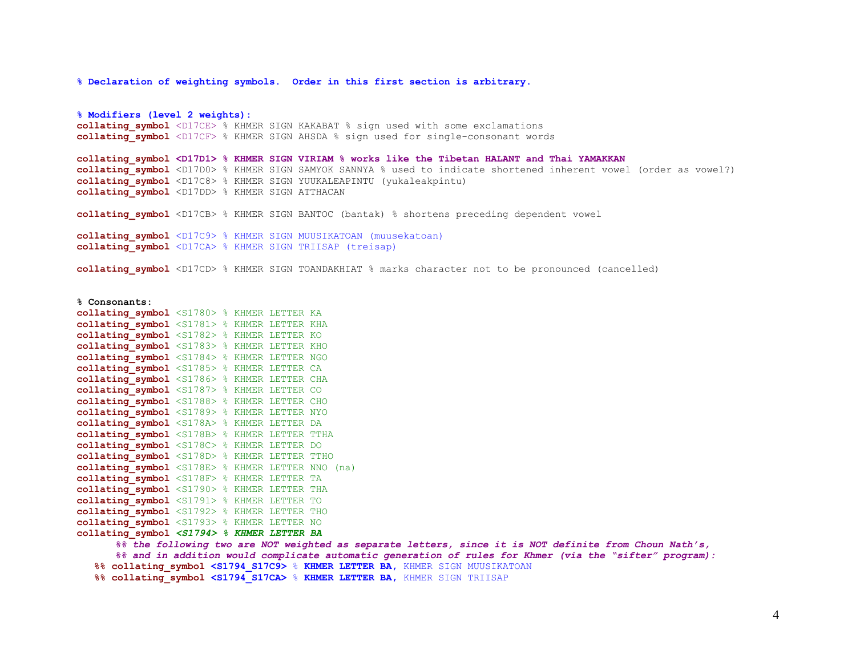**% Declaration of weighting symbols. Order in this first section is arbitrary.** 

**% Modifiers (level 2 weights): collating\_symbol** <D17CE> % KHMER SIGN KAKABAT % sign used with some exclamations **collating\_symbol** <D17CF> % KHMER SIGN AHSDA % sign used for single-consonant words **collating\_symbol <D17D1> % KHMER SIGN VIRIAM % works like the Tibetan HALANT and Thai YAMAKKAN**  collating symbol <D17D0> % KHMER SIGN SAMYOK SANNYA % used to indicate shortened inherent vowel (order as vowel?) **collating\_symbol** <D17C8> % KHMER SIGN YUUKALEAPINTU (yukaleakpintu) **collating\_symbol** <D17DD> % KHMER SIGN ATTHACAN **collating\_symbol** <D17CB> % KHMER SIGN BANTOC (bantak) % shortens preceding dependent vowel **collating\_symbol** <D17C9> % KHMER SIGN MUUSIKATOAN (muusekatoan) **collating\_symbol** <D17CA> % KHMER SIGN TRIISAP (treisap)

**collating\_symbol** <D17CD> % KHMER SIGN TOANDAKHIAT % marks character not to be pronounced (cancelled)

#### **% Consonants:**

**collating\_symbol** <S1780> % KHMER LETTER KA collating symbol <S1781> % KHMER LETTER KHA **collating\_symbol** <S1782> % KHMER LETTER KO **collating\_symbol** <S1783> % KHMER LETTER KHO **collating\_symbol** <S1784> % KHMER LETTER NGO **collating\_symbol** <S1785> % KHMER LETTER CA **collating\_symbol** <S1786> % KHMER LETTER CHA **collating\_symbol** <S1787> % KHMER LETTER CO **collating\_symbol** <S1788> % KHMER LETTER CHO **collating\_symbol** <S1789> % KHMER LETTER NYO **collating\_symbol** <S178A> % KHMER LETTER DA **collating\_symbol** <S178B> % KHMER LETTER TTHA **collating\_symbol** <S178C> % KHMER LETTER DO **collating\_symbol** <S178D> % KHMER LETTER TTHO **collating\_symbol** <S178E> % KHMER LETTER NNO (na) **collating\_symbol** <S178F> % KHMER LETTER TA **collating\_symbol** <S1790> % KHMER LETTER THA **collating\_symbol** <S1791> % KHMER LETTER TO **collating\_symbol** <S1792> % KHMER LETTER THO **collating\_symbol** <S1793> % KHMER LETTER NO **collating\_symbol** *<S1794> % KHMER LETTER BA* 

> *%% the following two are NOT weighted as separate letters, since it is NOT definite from Choun Nath's, %% and in addition would complicate automatic generation of rules for Khmer (via the "sifter" program):*

 **%% collating\_symbol <S1794\_S17C9>** % **KHMER LETTER BA,** KHMER SIGN MUUSIKATOAN

 **%% collating\_symbol <S1794\_S17CA>** % **KHMER LETTER BA,** KHMER SIGN TRIISAP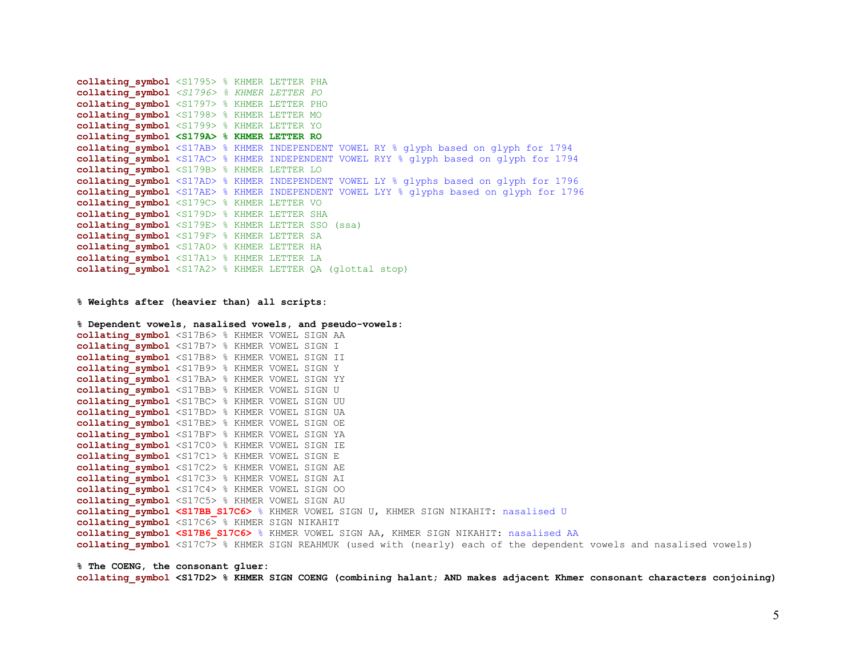```
collating_symbol <S1795> % KHMER LETTER PHA 
collating_symbol <S1796> % KHMER LETTER PO 
collating_symbol <S1797> % KHMER LETTER PHO 
collating_symbol <S1798> % KHMER LETTER MO 
collating_symbol <S1799> % KHMER LETTER YO 
collating_symbol <S179A> % KHMER LETTER RO 
collating_symbol <S17AB> % KHMER INDEPENDENT VOWEL RY % glyph based on glyph for 1794 
collating_symbol <S17AC> % KHMER INDEPENDENT VOWEL RYY % glyph based on glyph for 1794 
collating_symbol <S179B> % KHMER LETTER LO 
collating_symbol <S17AD> % KHMER INDEPENDENT VOWEL LY % glyphs based on glyph for 1796 
collating_symbol <S17AE> % KHMER INDEPENDENT VOWEL LYY % glyphs based on glyph for 1796 
collating symbol <S179C> % KHMER LETTER VO
collating symbol <S179D> % KHMER LETTER SHA
collating_symbol <S179E> % KHMER LETTER SSO (ssa) 
collating symbol <S179F> % KHMER LETTER SA
collating_symbol <S17A0> % KHMER LETTER HA 
collating_symbol <S17A1> % KHMER LETTER LA 
collating_symbol <S17A2> % KHMER LETTER QA (glottal stop)
```
**% Weights after (heavier than) all scripts:** 

```
% Dependent vowels, nasalised vowels, and pseudo-vowels: 
collating_symbol <S17B6> % KHMER VOWEL SIGN AA 
collating_symbol <S17B7> % KHMER VOWEL SIGN I 
collating_symbol <S17B8> % KHMER VOWEL SIGN II 
collating_symbol <S17B9> % KHMER VOWEL SIGN Y 
collating_symbol <S17BA> % KHMER VOWEL SIGN YY 
collating_symbol <S17BB> % KHMER VOWEL SIGN U 
collating_symbol <S17BC> % KHMER VOWEL SIGN UU 
collating_symbol <S17BD> % KHMER VOWEL SIGN UA 
collating_symbol <S17BE> % KHMER VOWEL SIGN OE 
collating_symbol <S17BF> % KHMER VOWEL SIGN YA 
collating_symbol <S17C0> % KHMER VOWEL SIGN IE 
collating_symbol <S17C1> % KHMER VOWEL SIGN E 
collating_symbol <S17C2> % KHMER VOWEL SIGN AE 
collating_symbol <S17C3> % KHMER VOWEL SIGN AI 
collating_symbol <S17C4> % KHMER VOWEL SIGN OO 
collating_symbol <S17C5> % KHMER VOWEL SIGN AU
collating_symbol <S17BB_S17C6> % KHMER VOWEL SIGN U, KHMER SIGN NIKAHIT: nasalised U
collating_symbol <S17C6> % KHMER SIGN NIKAHIT 
collating_symbol <S17B6_S17C6> % KHMER VOWEL SIGN AA, KHMER SIGN NIKAHIT: nasalised AA
collating_symbol <S17C7> % KHMER SIGN REAHMUK (used with (nearly) each of the dependent vowels and nasalised vowels)
```
**% The COENG, the consonant gluer: collating\_symbol <S17D2> % KHMER SIGN COENG (combining halant; AND makes adjacent Khmer consonant characters conjoining)**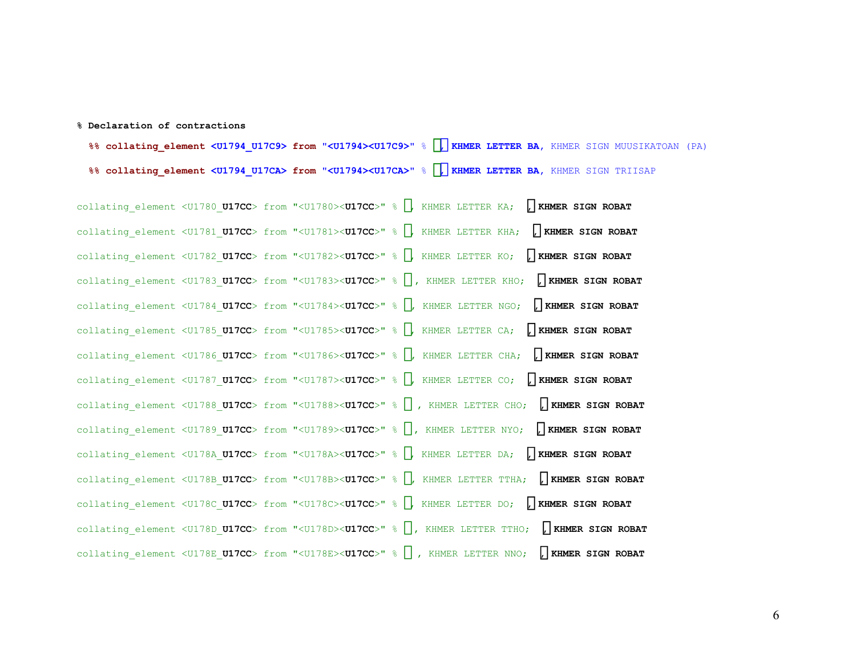#### **% Declaration of contractions**

 **%% collating\_element <U1794\_U17C9> from "<U1794><U17C9>**" % ប, **KHMER LETTER BA,** KHMER SIGN MUUSIKATOAN (PA)  **%% collating\_element <U1794\_U17CA> from "<U1794><U17CA>**" % ប, **KHMER LETTER BA,** KHMER SIGN TRIISAP

collating\_element <U1780\_**U17CC**> from "<U1780><**U17CC**>" % , KHMER LETTER KA; ៌**, KHMER SIGN ROBAT** collating\_element <U1781\_**U17CC**> from "<U1781><**U17CC**>" % , KHMER LETTER KHA; ៌**, KHMER SIGN ROBAT** collating\_element <U1782\_**U17CC**> from "<U1782><**U17CC**>" % , KHMER LETTER KO; ៌**, KHMER SIGN ROBAT** collating\_element <U1783\_**U17CC**> from "<U1783><**U17CC**>" % , KHMER LETTER KHO; ៌**, KHMER SIGN ROBAT** collating\_element <U1784\_**U17CC**> from "<U1784><**U17CC**>" % , KHMER LETTER NGO; ៌**, KHMER SIGN ROBAT** collating\_element <U1785\_**U17CC**> from "<U1785><**U17CC**>" % , KHMER LETTER CA; ៌**, KHMER SIGN ROBAT** collating\_element <U1786\_**U17CC**> from "<U1786><**U17CC**>" % , KHMER LETTER CHA; ៌**, KHMER SIGN ROBAT** collating\_element <U1787\_**U17CC**> from "<U1787><**U17CC**>" % , KHMER LETTER CO; ៌**, KHMER SIGN ROBAT** collating\_element <U1788\_**U17CC**> from "<U1788><**U17CC**>" % , KHMER LETTER CHO; ៌**, KHMER SIGN ROBAT** collating\_element <U1789\_**U17CC**> from "<U1789><**U17CC**>" % , KHMER LETTER NYO; ៌**, KHMER SIGN ROBAT** collating\_element <U178A\_**U17CC**> from "<U178A><**U17CC**>" % , KHMER LETTER DA; ៌**, KHMER SIGN ROBAT** collating\_element <U178B\_**U17CC**> from "<U178B><**U17CC**>" % , KHMER LETTER TTHA; ៌**, KHMER SIGN ROBAT** collating\_element <U178C\_**U17CC**> from "<U178C><**U17CC**>" % , KHMER LETTER DO; ៌**, KHMER SIGN ROBAT** collating\_element <U178D\_**U17CC**> from "<U178D><**U17CC**>" % , KHMER LETTER TTHO; ៌**, KHMER SIGN ROBAT** collating\_element <U178E\_**U17CC**> from "<U178E><**U17CC**>" % , KHMER LETTER NNO; ៌**, KHMER SIGN ROBAT**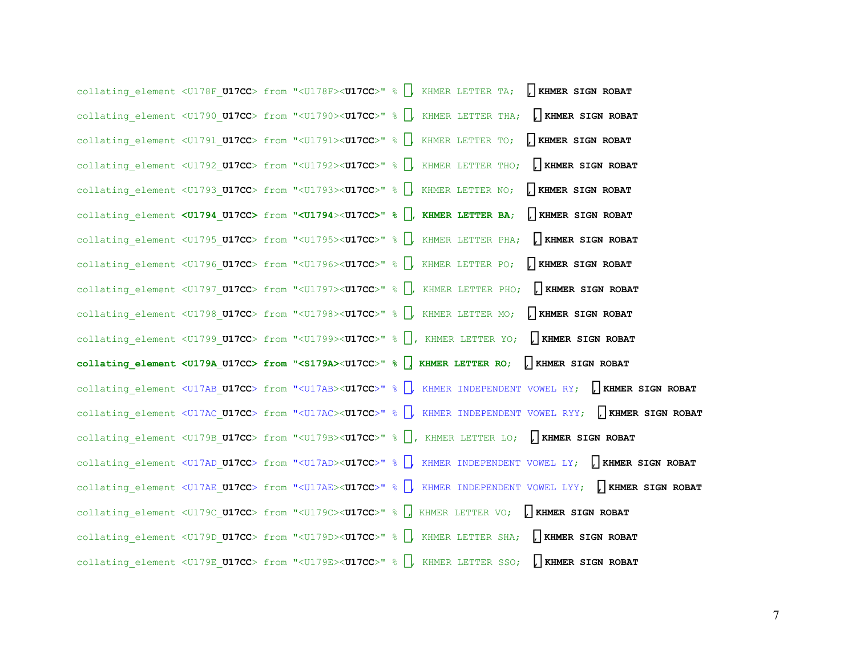collating\_element <U178F\_**U17CC**> from "<U178F><**U17CC**>" % , KHMER LETTER TA; ៌**, KHMER SIGN ROBAT** collating\_element <U1790\_**U17CC**> from "<U1790><**U17CC**>" % , KHMER LETTER THA; ៌**, KHMER SIGN ROBAT** collating\_element <U1791\_**U17CC**> from "<U1791><**U17CC**>" % , KHMER LETTER TO; ៌**, KHMER SIGN ROBAT** collating\_element <U1792\_**U17CC**> from "<U1792><**U17CC**>" % , KHMER LETTER THO; ៌**, KHMER SIGN ROBAT** collating\_element <U1793\_**U17CC**> from "<U1793><**U17CC**>" % , KHMER LETTER NO; ៌**, KHMER SIGN ROBAT** collating\_element **<U1794**\_**U17CC>** from **"<U1794**><**U17CC>" %** ប**, KHMER LETTER BA**; ៌**, KHMER SIGN ROBAT** collating\_element <U1795\_**U17CC**> from "<U1795><**U17CC**>" % , KHMER LETTER PHA; ៌**, KHMER SIGN ROBAT** collating\_element <U1796\_**U17CC**> from "<U1796><**U17CC**>" % , KHMER LETTER PO; ៌**, KHMER SIGN ROBAT** collating\_element <U1797\_**U17CC**> from "<U1797><**U17CC**>" % , KHMER LETTER PHO; ៌**, KHMER SIGN ROBAT** collating\_element <U1798\_**U17CC**> from "<U1798><**U17CC**>" % , KHMER LETTER MO; ៌**, KHMER SIGN ROBAT** collating\_element <U1799\_**U17CC**> from "<U1799><**U17CC**>" % , KHMER LETTER YO; ៌**, KHMER SIGN ROBAT collating\_element <U179A**\_**U17CC> from "<S179A>**<**U17CC**>**" %** រ**, KHMER LETTER RO**; ៌**, KHMER SIGN ROBAT** collating\_element <U17AB\_**U17CC**> from "<U17AB><**U17CC**>" % , KHMER INDEPENDENT VOWEL RY; ៌**, KHMER SIGN ROBAT** collating\_element <U17AC\_**U17CC**> from "<U17AC><**U17CC**>" % , KHMER INDEPENDENT VOWEL RYY; ៌**, KHMER SIGN ROBAT** collating\_element <U179B\_**U17CC**> from "<U179B><**U17CC**>" % , KHMER LETTER LO; ៌**, KHMER SIGN ROBAT** collating\_element <U17AD\_**U17CC**> from "<U17AD><**U17CC**>" % , KHMER INDEPENDENT VOWEL LY; ៌**, KHMER SIGN ROBAT** collating\_element <U17AE\_**U17CC**> from "<U17AE><**U17CC**>" % , KHMER INDEPENDENT VOWEL LYY; ៌**, KHMER SIGN ROBAT** collating\_element <U179C\_**U17CC**> from "<U179C><**U17CC**>" % , KHMER LETTER VO; ៌**, KHMER SIGN ROBAT** collating\_element <U179D\_**U17CC**> from "<U179D><**U17CC**>" % , KHMER LETTER SHA; ៌**, KHMER SIGN ROBAT** collating\_element <U179E\_**U17CC**> from "<U179E><**U17CC**>" % , KHMER LETTER SSO; ៌**, KHMER SIGN ROBAT**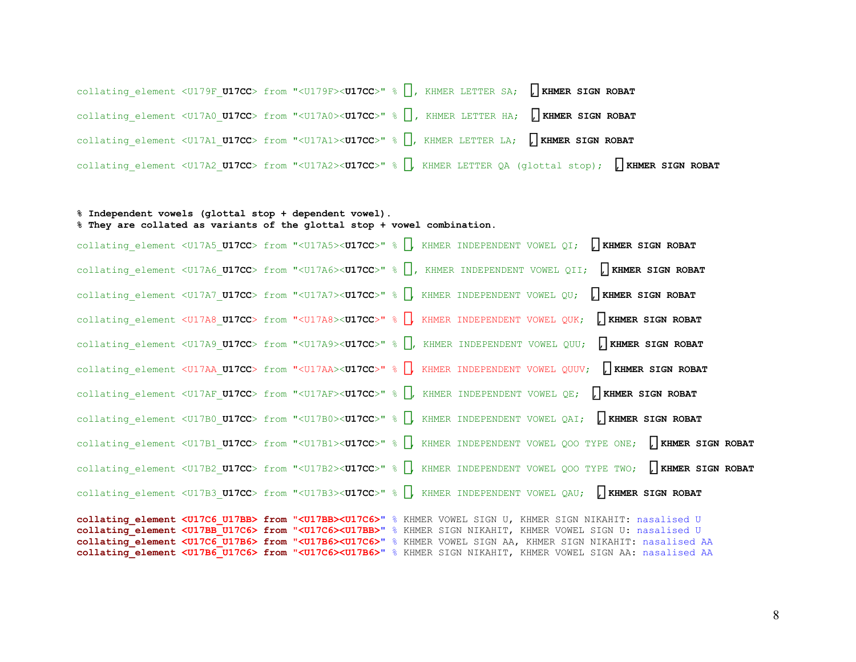collating\_element <U179F\_**U17CC**> from "<U179F><**U17CC**>" % , KHMER LETTER SA; ៌**, KHMER SIGN ROBAT** collating\_element <U17A0\_**U17CC**> from "<U17A0><**U17CC**>" % , KHMER LETTER HA; ៌**, KHMER SIGN ROBAT** collating\_element <U17A1\_**U17CC**> from "<U17A1><**U17CC**>" % , KHMER LETTER LA; ៌**, KHMER SIGN ROBAT** collating\_element <U17A2\_**U17CC**> from "<U17A2><**U17CC**>" % , KHMER LETTER QA (glottal stop); ៌**, KHMER SIGN ROBAT** 

## **% Independent vowels (glottal stop + dependent vowel). % They are collated as variants of the glottal stop + vowel combination.**

collating\_element <U17A5\_**U17CC**> from "<U17A5><**U17CC**>" % , KHMER INDEPENDENT VOWEL QI; ៌**, KHMER SIGN ROBAT** collating\_element <U17A6\_**U17CC**> from "<U17A6><**U17CC**>" % , KHMER INDEPENDENT VOWEL QII; ៌**, KHMER SIGN ROBAT** collating\_element <U17A7\_**U17CC**> from "<U17A7><**U17CC**>" % , KHMER INDEPENDENT VOWEL QU; ៌**, KHMER SIGN ROBAT** collating\_element <U17A8\_**U17CC**> from "<U17A8><**U17CC**>" % , KHMER INDEPENDENT VOWEL QUK; ៌**, KHMER SIGN ROBAT** collating\_element <U17A9\_**U17CC**> from "<U17A9><**U17CC**>" % , KHMER INDEPENDENT VOWEL QUU; ៌**, KHMER SIGN ROBAT** collating\_element <U17AA\_**U17CC**> from "<U17AA><**U17CC**>" % , KHMER INDEPENDENT VOWEL QUUV; ៌**, KHMER SIGN ROBAT** collating\_element <U17AF\_**U17CC**> from "<U17AF><**U17CC**>" % , KHMER INDEPENDENT VOWEL QE; ៌**, KHMER SIGN ROBAT** collating\_element <U17B0\_**U17CC**> from "<U17B0><**U17CC**>" % , KHMER INDEPENDENT VOWEL QAI; ៌**, KHMER SIGN ROBAT** collating\_element <U17B1\_**U17CC**> from "<U17B1><**U17CC**>" % , KHMER INDEPENDENT VOWEL QOO TYPE ONE; ៌**, KHMER SIGN ROBAT** collating\_element <U17B2\_**U17CC**> from "<U17B2><**U17CC**>" % , KHMER INDEPENDENT VOWEL QOO TYPE TWO; ៌**, KHMER SIGN ROBAT** collating\_element <U17B3\_**U17CC**> from "<U17B3><**U17CC**>" % , KHMER INDEPENDENT VOWEL QAU; ៌**, KHMER SIGN ROBAT collating\_element <U17C6\_U17BB> from "<U17BB><U17C6>**" % KHMER VOWEL SIGN U, KHMER SIGN NIKAHIT: nasalised U **collating\_element <U17BB\_U17C6> from "<U17C6><U17BB>**" % KHMER SIGN NIKAHIT, KHMER VOWEL SIGN U: nasalised U **collating\_element <U17C6\_U17B6> from "<U17B6><U17C6>**" % KHMER VOWEL SIGN AA, KHMER SIGN NIKAHIT: nasalised AA **collating\_element <U17B6\_U17C6> from "<U17C6><U17B6>**" % KHMER SIGN NIKAHIT, KHMER VOWEL SIGN AA: nasalised AA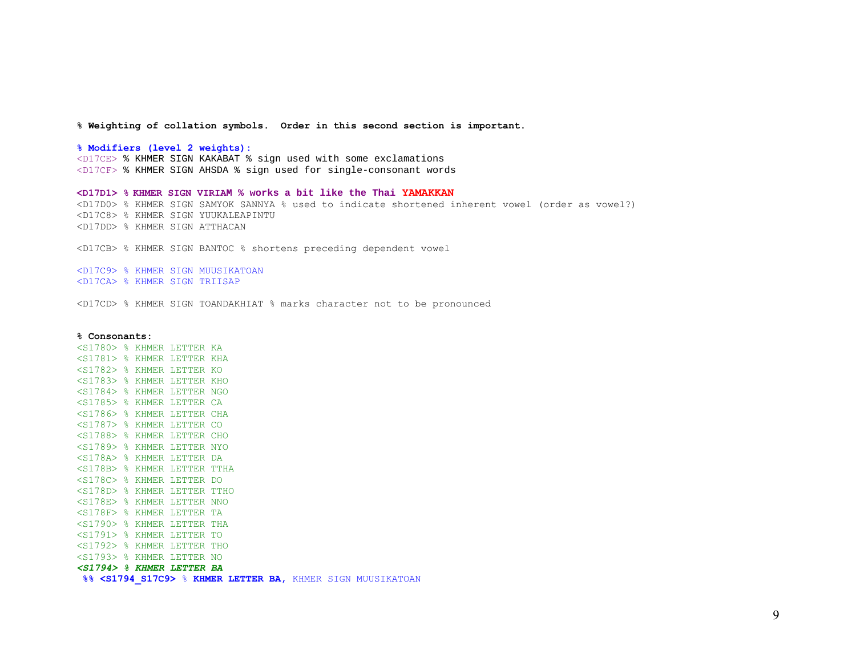**% Weighting of collation symbols. Order in this second section is important.** 

**% Modifiers (level 2 weights):** 

<D17CE> % KHMER SIGN KAKABAT % sign used with some exclamations <D17CF> % KHMER SIGN AHSDA % sign used for single-consonant words

**<D17D1> % KHMER SIGN VIRIAM % works a bit like the Thai YAMAKKAN**  <D17D0> % KHMER SIGN SAMYOK SANNYA % used to indicate shortened inherent vowel (order as vowel?) <D17C8> % KHMER SIGN YUUKALEAPINTU <D17DD> % KHMER SIGN ATTHACAN

<D17CB> % KHMER SIGN BANTOC % shortens preceding dependent vowel

<D17C9> % KHMER SIGN MUUSIKATOAN <D17CA> % KHMER SIGN TRIISAP

<D17CD> % KHMER SIGN TOANDAKHIAT % marks character not to be pronounced

#### **% Consonants:**

<S1780> % KHMER LETTER KA <S1781> % KHMER LETTER KHA <S1782> % KHMER LETTER KO <S1783> % KHMER LETTER KHO <S1784> % KHMER LETTER NGO <S1785> % KHMER LETTER CA <S1786> % KHMER LETTER CHA <S1787> % KHMER LETTER CO <S1788> % KHMER LETTER CHO <S1789> % KHMER LETTER NYO <S178A> % KHMER LETTER DA <S178B> % KHMER LETTER TTHA <S178C> % KHMER LETTER DO <S178D> % KHMER LETTER TTHO <S178E> % KHMER LETTER NNO <S178F> % KHMER LETTER TA <S1790> % KHMER LETTER THA <S1791> % KHMER LETTER TO <S1792> % KHMER LETTER THO <S1793> % KHMER LETTER NO *<S1794> % KHMER LETTER BA*  **%% <S1794\_S17C9>** % **KHMER LETTER BA,** KHMER SIGN MUUSIKATOAN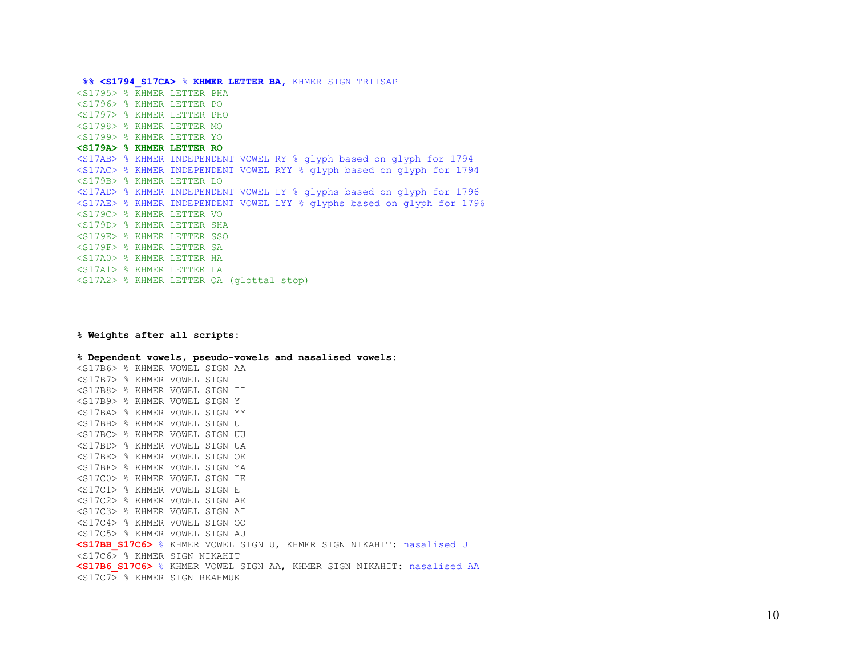**%% <S1794\_S17CA>** % **KHMER LETTER BA,** KHMER SIGN TRIISAP <S1795> % KHMER LETTER PHA <S1796> % KHMER LETTER PO <S1797> % KHMER LETTER PHO <S1798> % KHMER LETTER MO <S1799> % KHMER LETTER YO **<S179A> % KHMER LETTER RO** <S17AB> % KHMER INDEPENDENT VOWEL RY % glyph based on glyph for 1794 <S17AC> % KHMER INDEPENDENT VOWEL RYY % glyph based on glyph for 1794 <S179B> % KHMER LETTER LO <S17AD> % KHMER INDEPENDENT VOWEL LY % glyphs based on glyph for 1796 <S17AE> % KHMER INDEPENDENT VOWEL LYY % glyphs based on glyph for 1796 <S179C> % KHMER LETTER VO <S179D> % KHMER LETTER SHA <S179E> % KHMER LETTER SSO <S179F> % KHMER LETTER SA <S17A0> % KHMER LETTER HA <S17A1> % KHMER LETTER LA <S17A2> % KHMER LETTER QA (glottal stop)

**% Weights after all scripts:** 

**% Dependent vowels, pseudo-vowels and nasalised vowels:**  <S17B6> % KHMER VOWEL SIGN AA <S17B7> % KHMER VOWEL SIGN I <S17B8> % KHMER VOWEL SIGN II <S17B9> % KHMER VOWEL SIGN Y <S17BA> % KHMER VOWEL SIGN YY <S17BB> % KHMER VOWEL SIGN U <S17BC> % KHMER VOWEL SIGN UU <S17BD> % KHMER VOWEL SIGN UA <S17BE> % KHMER VOWEL SIGN OE <S17BF> % KHMER VOWEL SIGN YA <S17C0> % KHMER VOWEL SIGN IE <S17C1> % KHMER VOWEL SIGN E <S17C2> % KHMER VOWEL SIGN AE <S17C3> % KHMER VOWEL SIGN AI <S17C4> % KHMER VOWEL SIGN OO <S17C5> % KHMER VOWEL SIGN AU **<S17BB\_S17C6>** % KHMER VOWEL SIGN U, KHMER SIGN NIKAHIT: nasalised U <S17C6> % KHMER SIGN NIKAHIT **<S17B6\_S17C6>** % KHMER VOWEL SIGN AA, KHMER SIGN NIKAHIT: nasalised AA  $\langle$ S17C7 $\rangle$  % KHMER SIGN REAHMUK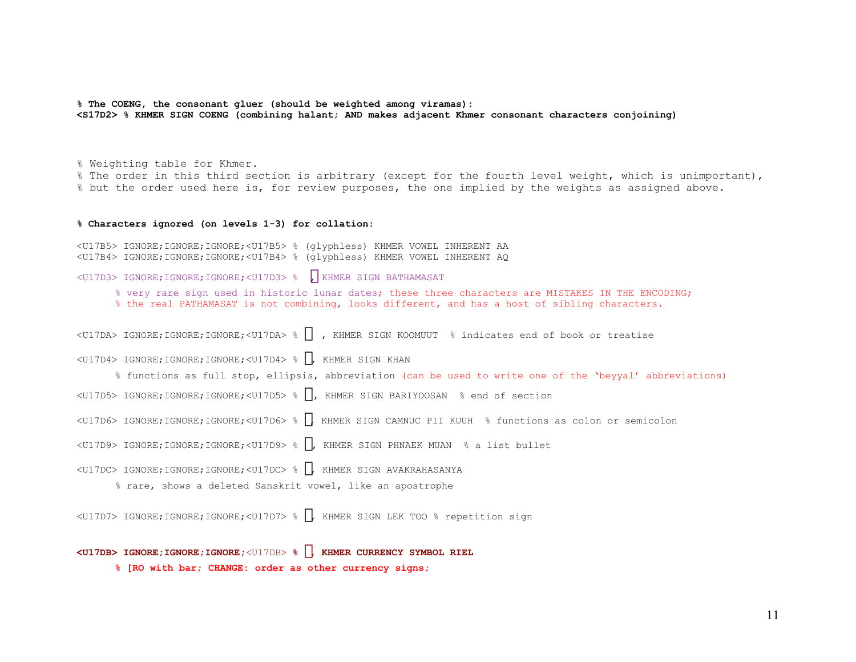**% The COENG, the consonant gluer (should be weighted among viramas): <S17D2> % KHMER SIGN COENG (combining halant; AND makes adjacent Khmer consonant characters conjoining)** 

% Weighting table for Khmer.

% The order in this third section is arbitrary (except for the fourth level weight, which is unimportant), % but the order used here is, for review purposes, the one implied by the weights as assigned above.

#### **% Characters ignored (on levels 1-3) for collation:**

<U17B5> IGNORE;IGNORE;IGNORE;<U17B5> % (glyphless) KHMER VOWEL INHERENT AA <U17B4> IGNORE;IGNORE;IGNORE;<U17B4> % (glyphless) KHMER VOWEL INHERENT AQ

<U17D3> IGNORE;IGNORE;IGNORE;<U17D3> % , KHMER SIGN BATHAMASAT

% very rare sign used in historic lunar dates; these three characters are MISTAKES IN THE ENCODING; % the real PATHAMASAT is not combining, looks different, and has a host of sibling characters.

<U17DA> IGNORE;IGNORE;IGNORE;<U17DA> % , KHMER SIGN KOOMUUT % indicates end of book or treatise

<U17D4> IGNORE;IGNORE;IGNORE;<U17D4> % , KHMER SIGN KHAN

% functions as full stop, ellipsis, abbreviation (can be used to write one of the 'beyyal' abbreviations)

- <U17D5> IGNORE;IGNORE;IGNORE;<U17D5> % , KHMER SIGN BARIYOOSAN % end of section
- <U17D6> IGNORE;IGNORE;IGNORE;<U17D6> % , KHMER SIGN CAMNUC PII KUUH % functions as colon or semicolon
- <U17D9> IGNORE;IGNORE;IGNORE;<U17D9> % , KHMER SIGN PHNAEK MUAN % a list bullet
- <U17DC> IGNORE;IGNORE;IGNORE;<U17DC> % , KHMER SIGN AVAKRAHASANYA
	- % rare, shows a deleted Sanskrit vowel, like an apostrophe

<U17D7> IGNORE;IGNORE;IGNORE;<U17D7> % , KHMER SIGN LEK TOO % repetition sign

### **<U17DB> IGNORE;IGNORE;IGNORE;**<U17DB> **% , KHMER CURRENCY SYMBOL RIEL**

**% [RO with bar; CHANGE: order as other currency signs;**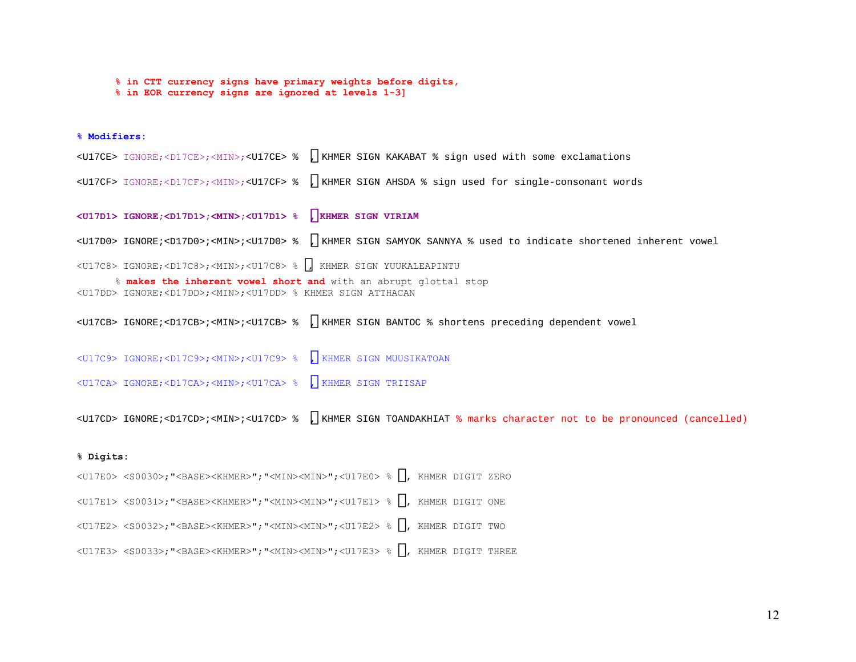**% in CTT currency signs have primary weights before digits, % in EOR currency signs are ignored at levels 1-3]**

## **% Modifiers:**

<U17CE> IGNORE;<D17CE>;<MIN>;<U17CE> % , KHMER SIGN KAKABAT % sign used with some exclamations <U17CF> IGNORE;<D17CF>;<MIN>;<U17CF> % , KHMER SIGN AHSDA % sign used for single-consonant words

**<U17D1> IGNORE;<D17D1>;<MIN>;<U17D1> %** ៑**, KHMER SIGN VIRIAM** 

<U17D0> IGNORE;<D17D0>;<MIN>;<U17D0> % , KHMER SIGN SAMYOK SANNYA % used to indicate shortened inherent vowel

<U17C8> IGNORE;<D17C8>;<MIN>;<U17C8> % , KHMER SIGN YUUKALEAPINTU

 % **makes the inherent vowel short and** with an abrupt glottal stop <U17DD> IGNORE;<D17DD>;<MIN>;<U17DD> % KHMER SIGN ATTHACAN

<U17CB> IGNORE;<D17CB>;<MIN>;<U17CB> % , KHMER SIGN BANTOC % shortens preceding dependent vowel

<U17C9> IGNORE;<D17C9>;<MIN>;<U17C9> % , KHMER SIGN MUUSIKATOAN

<U17CA> IGNORE;<D17CA>;<MIN>;<U17CA> % , KHMER SIGN TRIISAP

<U17CD> IGNORE;<D17CD>;<MIN>;<U17CD> % , KHMER SIGN TOANDAKHIAT % marks character not to be pronounced (cancelled)

### **% Digits:**

<U17E0> <S0030>;"<BASE><KHMER>";"<MIN><MIN>";<U17E0> % , KHMER DIGIT ZERO

<U17E1> <S0031>;"<BASE><KHMER>";"<MIN><MIN>";<U17E1> % , KHMER DIGIT ONE

<U17E2> <S0032>;"<BASE><KHMER>";"<MIN><MIN>";<U17E2> % , KHMER DIGIT TWO

<U17E3> <S0033>;"<BASE><KHMER>";"<MIN><MIN>";<U17E3> % , KHMER DIGIT THREE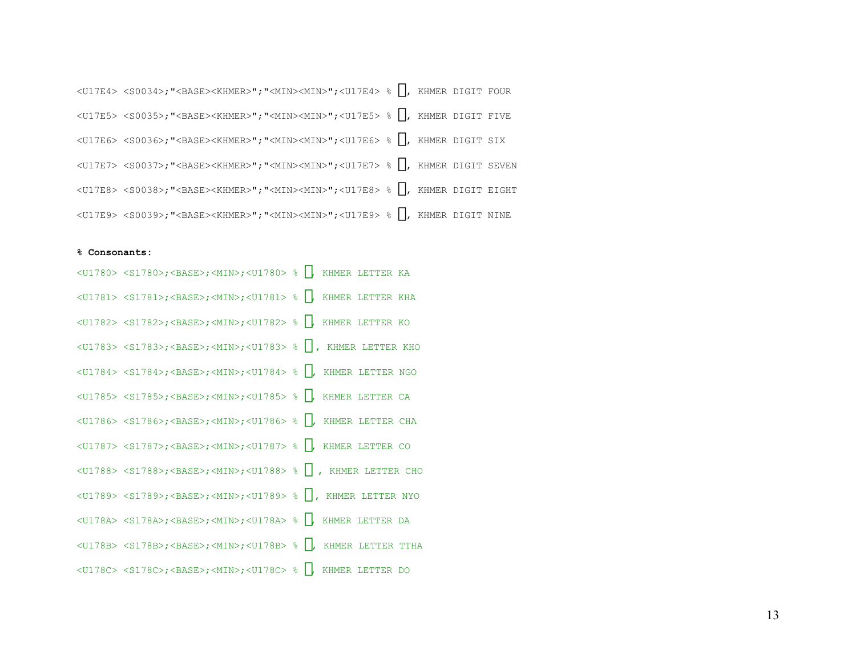| <u17e4> <s0034>;"<base/><khmer>";"<min><min>";<u17e4> % (KHMER DIGIT FOUR</u17e4></min></min></khmer></s0034></u17e4>                                |  |                    |  |
|------------------------------------------------------------------------------------------------------------------------------------------------------|--|--------------------|--|
| <u17e5> <s0035>;"<base/><khmer>";"<min><min>";<u17e5> %</u17e5></min></min></khmer></s0035></u17e5>                                                  |  | , KHMER DIGIT FIVE |  |
| <u17e6> <s0036>;"<base/><khmer>";"<min><min>";<u17e6> % }, KHMER DIGIT SIX</u17e6></min></min></khmer></s0036></u17e6>                               |  |                    |  |
| <u17e7> <s0037>;"<base/><khmer>";"<min><min>";<u17e7> % }, KHMER DIGIT SEVEN</u17e7></min></min></khmer></s0037></u17e7>                             |  |                    |  |
| <u17e8> <s0038>;"<base/><khmer>";"<min><min>";<u17e8> % } KHMER DIGIT EIGHT</u17e8></min></min></khmer></s0038></u17e8>                              |  |                    |  |
| $\langle 0.37429 \rangle$ $\langle 0.3929 \rangle$ ; " $\langle 0.48452 \rangle$ (KHMER)"; " $\langle 0.17419 \rangle$ "; $\langle 0.1749 \rangle$ % |  | KHMER DIGIT NINE   |  |

#### **% Consonants:**

| $\langle \text{U1780} \rangle$ $\langle \text{S1780} \rangle$ ; $\langle \text{BASE} \rangle$ ; $\langle \text{MIN} \rangle$ ; $\langle \text{U1780} \rangle$ & , KHMER LETTER KA |  |
|-----------------------------------------------------------------------------------------------------------------------------------------------------------------------------------|--|
| <u1781> <s1781>;<base/>;<min>;<u1781> % , KHMER LETTER KHA</u1781></min></s1781></u1781>                                                                                          |  |
| $\langle 01782 \rangle$ $\langle 01782 \rangle$ ; $\langle 01852 \rangle$ ; $\langle 01182 \rangle$ ; $\langle 01782 \rangle$ & , KHMER LETTER KO                                 |  |
| <u1783> <s1783>;<base/>;<min>;<u1783> % , KHMER LETTER KHO</u1783></min></s1783></u1783>                                                                                          |  |
| <u1784> <s1784>;<base/>;<min>;<u1784> % , KHMER LETTER NGO</u1784></min></s1784></u1784>                                                                                          |  |
| $\langle 01785 \rangle$ $\langle 01785 \rangle$ ; $\langle 0155 \rangle$ ; $\langle 01785 \rangle$ $\langle 01785 \rangle$ $\langle 001785 \rangle$ . KHMER LETTER CA             |  |
| <01786> <s1786>;<base/>;<min>;&lt;01786&gt; % , KHMER LETTER CHA</min></s1786>                                                                                                    |  |
| $\langle 01787 \rangle$ $\langle 01787 \rangle$ ; $\langle 001787 \rangle$ ; $\langle 01787 \rangle$ % , KHMER LETTER CO                                                          |  |
| <u1788> <s1788>;<base/>;<min>;<u1788> % , KHMER LETTER CHO</u1788></min></s1788></u1788>                                                                                          |  |
| <01789> <s1789>;<base/>;<min>;&lt;01789&gt; % , KHMER LETTER NYO</min></s1789>                                                                                                    |  |
| <u178a> <s178a>;<base/>;<min>;<u178a> % , KHMER LETTER DA</u178a></min></s178a></u178a>                                                                                           |  |
| <u178b> <s178b>;<base/>;<min>;<u178b> % , KHMER LETTER TTHA</u178b></min></s178b></u178b>                                                                                         |  |
| <u178c> <s178c>;<base/>;<min>;<u178c> % , KHMER LETTER DO</u178c></min></s178c></u178c>                                                                                           |  |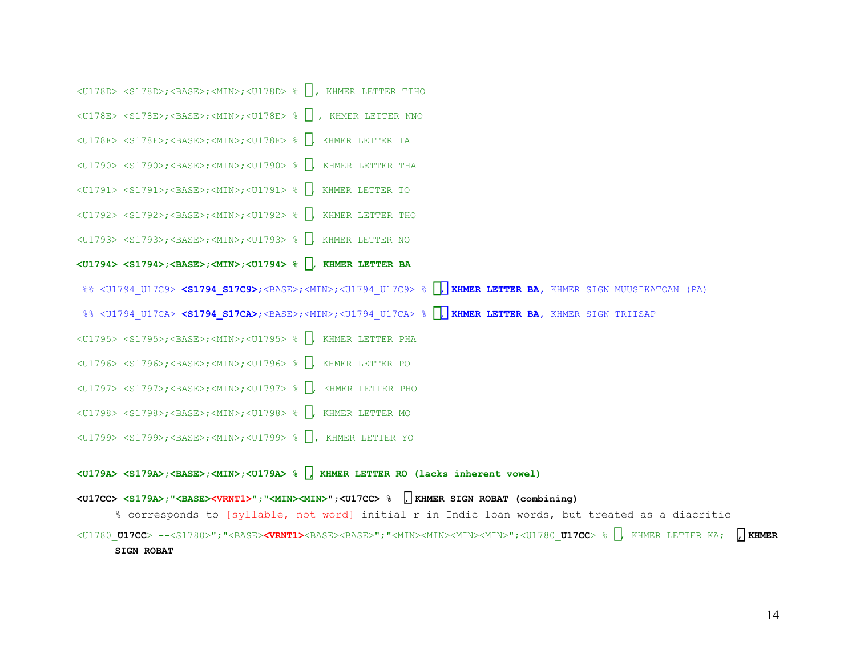<U178D> <S178D>;<BASE>;<MIN>;<U178D> % , KHMER LETTER TTHO <U178E> <S178E>;<BASE>;<MIN>;<U178E> % , KHMER LETTER NNO <U178F> <S178F>;<BASE>;<MIN>;<U178F> % , KHMER LETTER TA <U1790> <S1790>;<BASE>;<MIN>;<U1790> % , KHMER LETTER THA <U1791> <S1791>;<BASE>;<MIN>;<U1791> % , KHMER LETTER TO <U1792> <S1792>;<BASE>;<MIN>;<U1792> % , KHMER LETTER THO <U1793> <S1793>;<BASE>;<MIN>;<U1793> % , KHMER LETTER NO **<U1794> <S1794>;<BASE>;<MIN>;<U1794> %** ប**, KHMER LETTER BA**  %% <U1794 U17C9> <S1794 S17C9>;<BASE>;<MIN>;<U1794 U17C9> % , KHMER LETTER BA, KHMER SIGN MUUSIKATOAN (PA) %% <U1794 U17CA> <S1794 S17CA>;<BASE>;<MIN>;<U1794 U17CA> % , KHMER LETTER BA, KHMER SIGN TRIISAP <U1795> <S1795>;<BASE>;<MIN>;<U1795> % , KHMER LETTER PHA <U1796> <S1796>;<BASE>;<MIN>;<U1796> % , KHMER LETTER PO <U1797> <S1797>;<BASE>;<MIN>;<U1797> % , KHMER LETTER PHO <U1798> <S1798>;<BASE>;<MIN>;<U1798> % , KHMER LETTER MO <U1799> <S1799>;<BASE>;<MIN>;<U1799> % , KHMER LETTER YO

### **<U179A> <S179A>;<BASE>;<MIN>;<U179A> %** រ**, KHMER LETTER RO (lacks inherent vowel)**

## **<U17CC> <S179A>;"<BASE><VRNT1>";"<MIN><MIN>";<U17CC> %** ៌**, KHMER SIGN ROBAT (combining)**

% corresponds to [syllable, not word] initial r in Indic loan words, but treated as a diacritic

<U1780\_**U17CC**> **--**<S1780>";"<BASE>**<VRNT1>**<BASE><BASE>";"<MIN><MIN><MIN><MIN>";<U1780\_**U17CC**> % , KHMER LETTER KA; ៌**, KHMER SIGN ROBAT**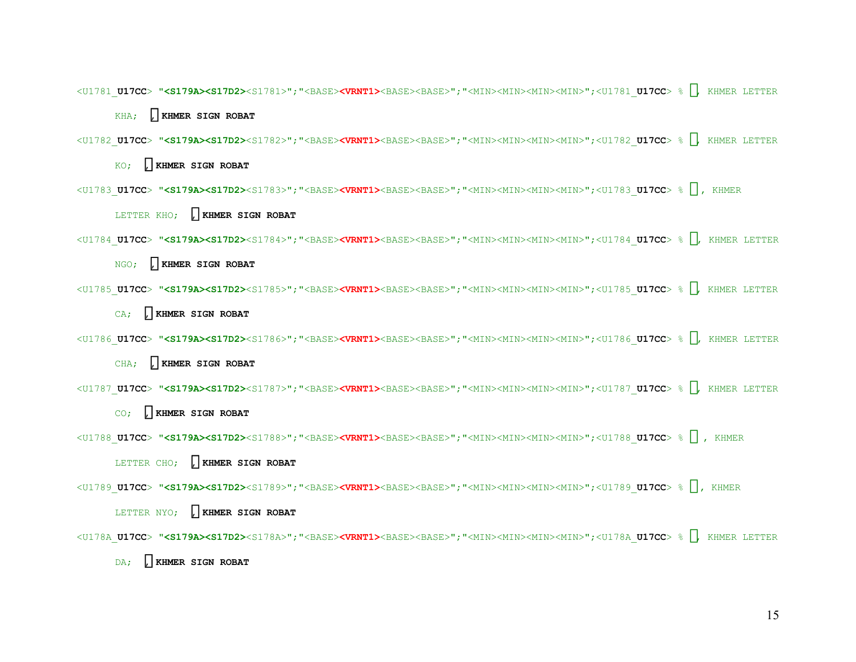<U1781\_**U17CC**> **"<S179A><S17D2>**<S1781>";"<BASE>**<VRNT1>**<BASE><BASE>";"<MIN><MIN><MIN><MIN>";<U1781\_**U17CC**> % , KHMER LETTER

KHA; ៌**, KHMER SIGN ROBAT**

<U1782\_**U17CC**> **"<S179A><S17D2>**<S1782>";"<BASE>**<VRNT1>**<BASE><BASE>";"<MIN><MIN><MIN><MIN>";<U1782\_**U17CC**> % , KHMER LETTER

KO; , **KHMER SIGN ROBAT** 

<U1783\_**U17CC**> **"<S179A><S17D2>**<S1783>";"<BASE>**<VRNT1>**<BASE><BASE>";"<MIN><MIN><MIN><MIN>";<U1783\_**U17CC**> % , KHMER

LETTER KHO; , **KHMER SIGN ROBAT** 

<U1784\_**U17CC**> **"<S179A><S17D2>**<S1784>";"<BASE>**<VRNT1>**<BASE><BASE>";"<MIN><MIN><MIN><MIN>";<U1784\_**U17CC**> % , KHMER LETTER

NGO; ៌**, KHMER SIGN ROBAT**

<U1785\_**U17CC**> **"<S179A><S17D2>**<S1785>";"<BASE>**<VRNT1>**<BASE><BASE>";"<MIN><MIN><MIN><MIN>";<U1785\_**U17CC**> % , KHMER LETTER

CA; ៌**, KHMER SIGN ROBAT**

```
<U1786_U17CC> "<S179A><S17D2><S1786>";"<BASE><VRNT1><BASE><BASE>";"<MIN><MIN><MIN><MIN>";<U1786_U17CC> % , KHMER LETTER
```
CHA; ៌**, KHMER SIGN ROBAT**

<U1787\_**U17CC**> **"<S179A><S17D2>**<S1787>";"<BASE>**<VRNT1>**<BASE><BASE>";"<MIN><MIN><MIN><MIN>";<U1787\_**U17CC**> % , KHMER LETTER

CO; , **KHMER SIGN ROBAT** 

<U1788\_**U17CC**> **"<S179A><S17D2>**<S1788>";"<BASE>**<VRNT1>**<BASE><BASE>";"<MIN><MIN><MIN><MIN>";<U1788\_**U17CC**> % , KHMER

LETTER CHO; , **KHMER SIGN ROBAT** 

<U1789\_**U17CC**> **"<S179A><S17D2>**<S1789>";"<BASE>**<VRNT1>**<BASE><BASE>";"<MIN><MIN><MIN><MIN>";<U1789\_**U17CC**> % , KHMER

LETTER NYO; , **KHMER SIGN ROBAT** 

<U178A\_**U17CC**> **"<S179A><S17D2>**<S178A>";"<BASE>**<VRNT1>**<BASE><BASE>";"<MIN><MIN><MIN><MIN>";<U178A\_**U17CC**> % , KHMER LETTER

DA; , **KHMER SIGN ROBAT**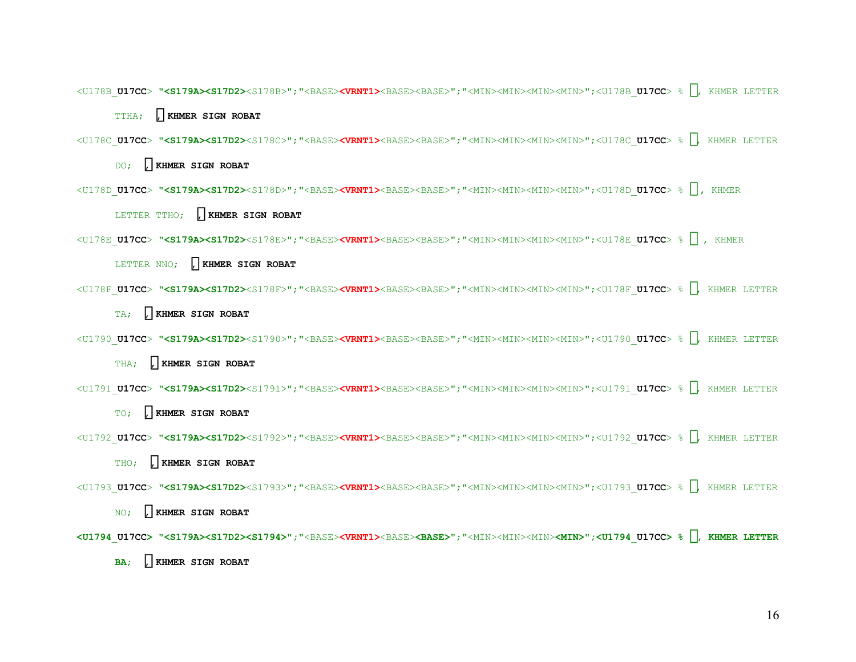<U178B\_**U17CC**> **"<S179A><S17D2>**<S178B>";"<BASE>**<VRNT1>**<BASE><BASE>";"<MIN><MIN><MIN><MIN>";<U178B\_**U17CC**> % , KHMER LETTER

TTHA; ៌**, KHMER SIGN ROBAT**

<U178C\_**U17CC**> **"<S179A><S17D2>**<S178C>";"<BASE>**<VRNT1>**<BASE><BASE>";"<MIN><MIN><MIN><MIN>";<U178C\_**U17CC**> % , KHMER LETTER

DO; , **KHMER SIGN ROBAT** 

<U178D\_**U17CC**> **"<S179A><S17D2>**<S178D>";"<BASE>**<VRNT1>**<BASE><BASE>";"<MIN><MIN><MIN><MIN>";<U178D\_**U17CC**> % , KHMER

LETTER TTHO; **, KHMER SIGN ROBAT** 

<U178E\_**U17CC**> **"<S179A><S17D2>**<S178E>";"<BASE>**<VRNT1>**<BASE><BASE>";"<MIN><MIN><MIN><MIN>";<U178E\_**U17CC**> % , KHMER

LETTER NNO; , **KHMER SIGN ROBAT** 

<U178F\_**U17CC**> **"<S179A><S17D2>**<S178F>";"<BASE>**<VRNT1>**<BASE><BASE>";"<MIN><MIN><MIN><MIN>";<U178F\_**U17CC**> % , KHMER LETTER

TA; ៌**, KHMER SIGN ROBAT**

```
<U1790_U17CC> "<S179A><S17D2><S1790>";"<BASE><VRNT1><BASE><BASE>";"<MIN><MIN><MIN><MIN>";<U1790_U17CC> % , KHMER LETTER
```
THA; ៌**, KHMER SIGN ROBAT**

<U1791\_**U17CC**> **"<S179A><S17D2>**<S1791>";"<BASE>**<VRNT1>**<BASE><BASE>";"<MIN><MIN><MIN><MIN>";<U1791\_**U17CC**> % , KHMER LETTER

TO; , **KHMER SIGN ROBAT** 

<U1792\_**U17CC**> **"<S179A><S17D2>**<S1792>";"<BASE>**<VRNT1>**<BASE><BASE>";"<MIN><MIN><MIN><MIN>";<U1792\_**U17CC**> % , KHMER LETTER

THO; ៌**, KHMER SIGN ROBAT**

<U1793\_**U17CC**> **"<S179A><S17D2>**<S1793>";"<BASE>**<VRNT1>**<BASE><BASE>";"<MIN><MIN><MIN><MIN>";<U1793\_**U17CC**> % , KHMER LETTER

NO; , **KHMER SIGN ROBAT** 

**<U1794** \_ **U17CC> "<S179A><S17D2><S1794>";**"<BASE>**<VRNT1>**<BASE>**<BASE>**";"<MIN><MIN><MIN>**<MIN>";<U1794** \_ **U17CC> %** ប**, KHMER LETTER** 

**BA**; , **KHMER SIGN ROBAT**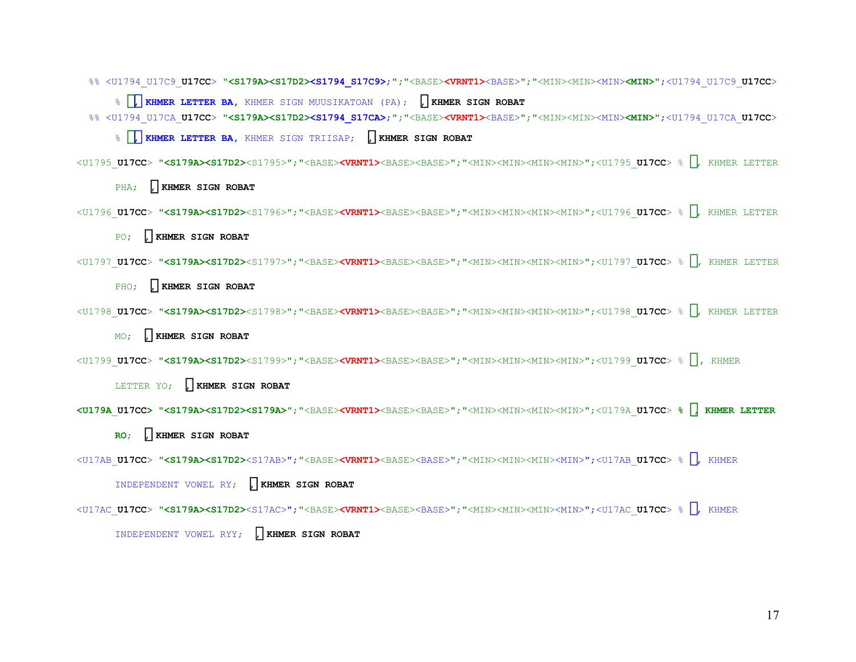%% <U1794\_U17C9\_**U17CC**> **"<S179A><S17D2><S1794\_S17C9>**;**";**"<BASE>**<VRNT1>**<BASE>";"<MIN><MIN><MIN>**<MIN>"**;<U1794\_U17C9\_**U17CC**<sup>&</sup>gt;

% ប, **KHMER LETTER BA,** KHMER SIGN MUUSIKATOAN (PA); ៌**, KHMER SIGN ROBAT** %% <U1794\_U17CA\_**U17CC**> **"<S179A><S17D2><S1794\_S17CA>**;**";**"<BASE>**<VRNT1>**<BASE>";"<MIN><MIN><MIN>**<MIN>"**;<U1794\_U17CA\_**U17CC**<sup>&</sup>gt;

% ប, **KHMER LETTER BA,** KHMER SIGN TRIISAP; ៌**, KHMER SIGN ROBAT**

<U1795\_**U17CC**> **"<S179A><S17D2>**<S1795>";"<BASE>**<VRNT1>**<BASE><BASE>";"<MIN><MIN><MIN><MIN>";<U1795\_**U17CC**> % , KHMER LETTER

PHA; , **KHMER SIGN ROBAT** 

<U1796\_**U17CC**> **"<S179A><S17D2>**<S1796>";"<BASE>**<VRNT1>**<BASE><BASE>";"<MIN><MIN><MIN><MIN>";<U1796\_**U17CC**> % , KHMER LETTER

PO; , **KHMER SIGN ROBAT** 

<U1797\_**U17CC**> **"<S179A><S17D2>**<S1797>";"<BASE>**<VRNT1>**<BASE><BASE>";"<MIN><MIN><MIN><MIN>";<U1797\_**U17CC**> % , KHMER LETTER

PHO; , **KHMER SIGN ROBAT** 

<U1798\_**U17CC**> **"<S179A><S17D2>**<S1798>";"<BASE>**<VRNT1>**<BASE><BASE>";"<MIN><MIN><MIN><MIN>";<U1798\_**U17CC**> % , KHMER LETTER

MO; ៌**, KHMER SIGN ROBAT**

<U1799\_**U17CC**> **"<S179A><S17D2>**<S1799>";"<BASE>**<VRNT1>**<BASE><BASE>";"<MIN><MIN><MIN><MIN>";<U1799\_**U17CC**> % , KHMER

LETTER YO; , **KHMER SIGN ROBAT** 

**<U179A** \_ **U17CC> "<S179A><S17D2><S179A>**";"<BASE>**<VRNT1>**<BASE><BASE>";"<MIN><MIN><MIN><MIN>";<U179A\_**U17CC**> **%** រ**, KHMER LETTER** 

**RO**; ៌**, KHMER SIGN ROBAT**

<U17AB**U17CC**> **"<S179A><S17D2>**<S17AB>";"<BASE>**<VRNT1>**<BASE><BASE>";"<MIN><MIN><MIN><MIN>";<U17AB **U17CC**> % , KHMER \_ \_

INDEPENDENT VOWEL RY; ៌**, KHMER SIGN ROBAT**

<U17AC \_ **U17CC**> **"<S179A><S17D2>**<S17AC>";"<BASE>**<VRNT1>**<BASE><BASE>";"<MIN><MIN><MIN><MIN>";<U17AC \_ **U17CC**> % , KHMER

INDEPENDENT VOWEL RYY; **, KHMER SIGN ROBAT**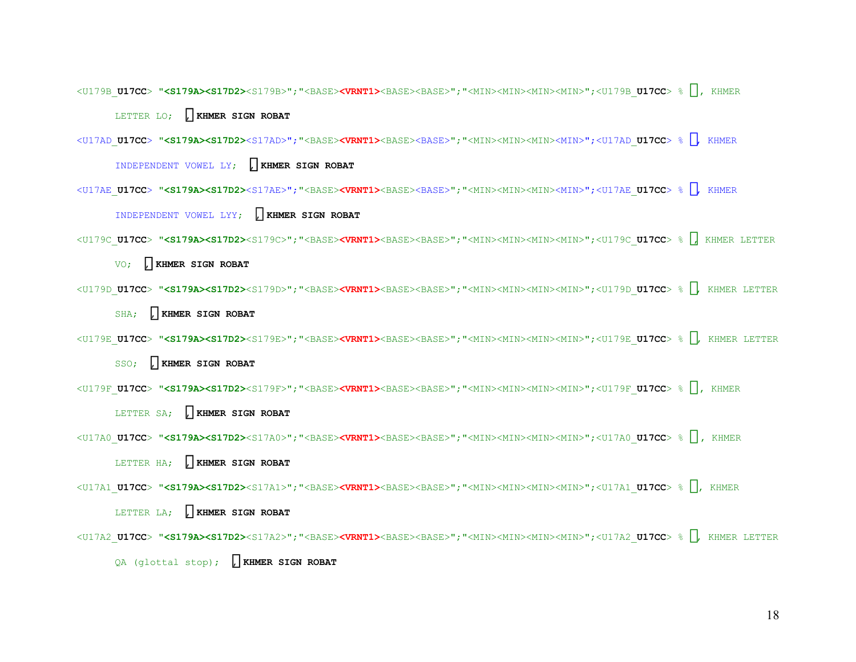<U179B\_**U17CC**> **"<S179A><S17D2>**<S179B>";"<BASE>**<VRNT1>**<BASE><BASE>";"<MIN><MIN><MIN><MIN>";<U179B\_**U17CC**> % , KHMER

LETTER LO; , **KHMER SIGN ROBAT** 

<U17AD \_ **U17CC**> **"<S179A><S17D2>**<S17AD>";"<BASE>**<VRNT1>**<BASE><BASE>";"<MIN><MIN><MIN><MIN>";<U17AD \_ **U17CC**> % , KHMER

INDEPENDENT VOWEL LY; **, KHMER SIGN ROBAT** 

<U17AE \_ **U17CC**> **"<S179A><S17D2>**<S17AE>";"<BASE>**<VRNT1>**<BASE><BASE>";"<MIN><MIN><MIN><MIN>";<U17AE \_ **U17CC**> % , KHMER

INDEPENDENT VOWEL LYY; **, KHMER SIGN ROBAT** 

<U179C\_**U17CC**> **"<S179A><S17D2>**<S179C>";"<BASE>**<VRNT1>**<BASE><BASE>";"<MIN><MIN><MIN><MIN>";<U179C\_**U17CC**> % , KHMER LETTER

VO; , **KHMER SIGN ROBAT** 

<U179D\_**U17CC**> **"<S179A><S17D2>**<S179D>";"<BASE>**<VRNT1>**<BASE><BASE>";"<MIN><MIN><MIN><MIN>";<U179D\_**U17CC**> % , KHMER LETTER

SHA; , **KHMER SIGN ROBAT** 

```
<U179E_U17CC> "<S179A><S17D2><S179E>";"<BASE><VRNT1><BASE><BASE>";"<MIN><MIN><MIN><MIN>";<U179E_U17CC> % , KHMER LETTER
```
SSO; , **KHMER SIGN ROBAT** 

<U179F\_**U17CC**> **"<S179A><S17D2>**<S179F>";"<BASE>**<VRNT1>**<BASE><BASE>";"<MIN><MIN><MIN><MIN>";<U179F\_**U17CC**> % , KHMER

LETTER SA; , **KHMER SIGN ROBAT** 

<U17A0\_**U17CC**> **"<S179A><S17D2>**<S17A0>";"<BASE>**<VRNT1>**<BASE><BASE>";"<MIN><MIN><MIN><MIN>";<U17A0\_**U17CC**> % , KHMER

LETTER HA; , **KHMER SIGN ROBAT** 

<U17A1\_**U17CC**> **"<S179A><S17D2>**<S17A1>";"<BASE>**<VRNT1>**<BASE><BASE>";"<MIN><MIN><MIN><MIN>";<U17A1\_**U17CC**> % , KHMER

LETTER LA; ៌**, KHMER SIGN ROBAT**

<U17A2\_**U17CC**> **"<S179A><S17D2>**<S17A2>";"<BASE>**<VRNT1>**<BASE><BASE>";"<MIN><MIN><MIN><MIN>";<U17A2\_**U17CC**> % , KHMER LETTER QA (glottal stop); ៌**, KHMER SIGN ROBAT**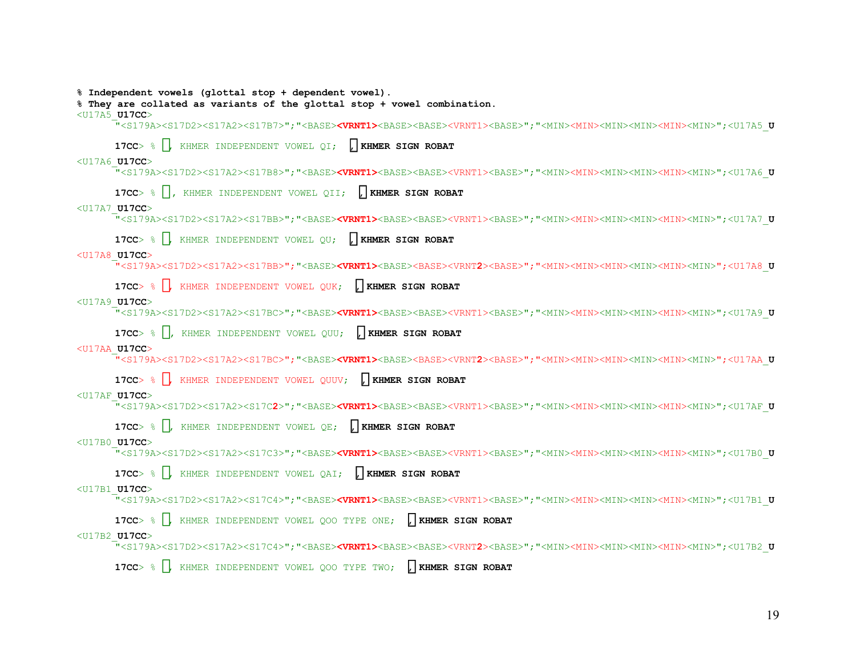**% Independent vowels (glottal stop + dependent vowel).** 

**% They are collated as variants of the glottal stop + vowel combination.** 

#### <U17A5\_**U17CC**<sup>&</sup>gt;

"<S179A><S17D2><S17A2><S17B7>";"<BASE>**<VRNT1>**<BASE><BASE><VRNT1><BASE>";"<MIN><MIN><MIN><MIN><MIN><MIN>";<U17A5\_ **U**

**17CC**> % , KHMER INDEPENDENT VOWEL QI; ៌**, KHMER SIGN ROBAT**

#### <U17A6\_**U17CC**<sup>&</sup>gt;

"<S179A><S17D2><S17A2><S17B8>";"<BASE>**<VRNT1>**<BASE><BASE><VRNT1><BASE>";"<MIN><MIN><MIN><MIN><MIN><MIN>";<U17A6\_ **U**

**17CC**> % , KHMER INDEPENDENT VOWEL QII; ៌**, KHMER SIGN ROBAT**

#### <U17A7\_**U17CC**<sup>&</sup>gt;

"<S179A><S17D2><S17A2><S17BB>";"<BASE>**<VRNT1>**<BASE><BASE><VRNT1><BASE>";"<MIN><MIN><MIN><MIN><MIN><MIN>";<U17A7\_ **U**

**17CC**> % , KHMER INDEPENDENT VOWEL QU; ៌**, KHMER SIGN ROBAT**

#### <U17A8**U17CC**> \_

"<S179A><S17D2><S17A2><S17BB>";"<BASE>**<VRNT1>**<BASE><BASE><VRNT**2**><BASE>";"<MIN><MIN><MIN><MIN><MIN><MIN>";<U17A8 **U**

**17CC**> % , KHMER INDEPENDENT VOWEL QUK; ៌**, KHMER SIGN ROBAT**

#### <U17A9\_**U17CC**<sup>&</sup>gt;

"<S179A><S17D2><S17A2><S17BC>";"<BASE>**<VRNT1>**<BASE><BASE><VRNT1><BASE>";"<MIN><MIN><MIN><MIN><MIN><MIN>";<U17A9\_ **U**

**17CC**> % , KHMER INDEPENDENT VOWEL QUU; ៌**, KHMER SIGN ROBAT**

#### <U17AA**U17CC**>

"<S179A><S17D2><S17A2><S17BC>";"<BASE>**<VRNT1>**<BASE><BASE><VRNT**2**><BASE>";"<MIN><MIN><MIN><MIN><MIN><MIN>";<U17AA **U**

**17CC**> % , KHMER INDEPENDENT VOWEL QUUV; ៌**, KHMER SIGN ROBAT**

#### <U17AF\_**U17CC**<sup>&</sup>gt;

"<S179A><S17D2><S17A2><S17C**2**>";"<BASE>**<VRNT1>**<BASE><BASE><VRNT1><BASE>";"<MIN><MIN><MIN><MIN><MIN><MIN>";<U17AF\_ **U**

**17CC**> % , KHMER INDEPENDENT VOWEL QE; ៌**, KHMER SIGN ROBAT**

#### <U17B0\_**U17CC**<sup>&</sup>gt;

"<S179A><S17D2><S17A2><S17C3>";"<BASE>**<VRNT1>**<BASE><BASE><VRNT1><BASE>";"<MIN><MIN><MIN><MIN><MIN><MIN>";<U17B0\_ **U**

**17CC**> % , KHMER INDEPENDENT VOWEL QAI; ៌**, KHMER SIGN ROBAT**

#### <U17B1\_**U17CC**<sup>&</sup>gt;

"<S179A><S17D2><S17A2><S17C4>";"<BASE>**<VRNT1>**<BASE><BASE><VRNT1><BASE>";"<MIN><MIN><MIN><MIN><MIN><MIN>";<U17B1\_ **U**

**17CC**> % , KHMER INDEPENDENT VOWEL QOO TYPE ONE; ៌**, KHMER SIGN ROBAT**

#### <U17B2\_**U17CC**<sup>&</sup>gt;

"<S179A><S17D2><S17A2><S17C4>";"<BASE>**<VRNT1>**<BASE><BASE><VRNT**2**><BASE>";"<MIN><MIN><MIN><MIN><MIN><MIN>";<U17B2\_ **U**

**17CC**> % , KHMER INDEPENDENT VOWEL QOO TYPE TWO; ៌**, KHMER SIGN ROBAT**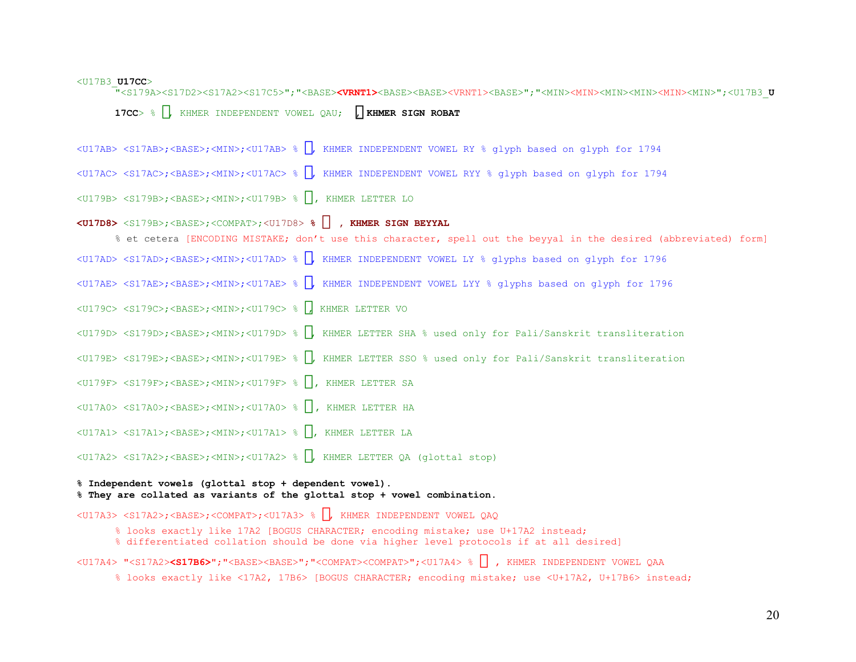#### <U17B3\_**U17CC**<sup>&</sup>gt;

"<S179A><S17D2><S17A2><S17C5>";"<BASE>**<VRNT1>**<BASE><BASE><VRNT1><BASE>";"<MIN><MIN><MIN><MIN><MIN><MIN>";<U17B3\_**<sup>U</sup>**

**17CC**> % , KHMER INDEPENDENT VOWEL QAU; ៌**, KHMER SIGN ROBAT**

<U17AB> <S17AB>;<BASE>;<MIN>;<U17AB> % , KHMER INDEPENDENT VOWEL RY % glyph based on glyph for 1794

<U17AC> <S17AC>;<BASE>;<MIN>;<U17AC> % , KHMER INDEPENDENT VOWEL RYY % glyph based on glyph for 1794

<U179B> <S179B>;<BASE>;<MIN>;<U179B> % , KHMER LETTER LO

**<U17D8>** <S179B>;<BASE>;<COMPAT>;<U17D8> **% , KHMER SIGN BEYYAL** 

% et cetera [ENCODING MISTAKE; don't use this character, spell out the beyyal in the desired (abbreviated) form] <U17AD> <S17AD>;<BASE>;<MIN>;<U17AD> % , KHMER INDEPENDENT VOWEL LY % glyphs based on glyph for 1796 <U17AE> <S17AE>;<BASE>;<MIN>;<U17AE> % , KHMER INDEPENDENT VOWEL LYY % glyphs based on glyph for 1796 <U179C> <S179C>;<BASE>;<MIN>;<U179C> % , KHMER LETTER VO <U179D> <S179D>;<BASE>;<MIN>;<U179D> % , KHMER LETTER SHA % used only for Pali/Sanskrit transliteration <U179E> <S179E>;<BASE>;<MIN>;<U179E> % , KHMER LETTER SSO % used only for Pali/Sanskrit transliteration <U179F> <S179F>;<BASE>;<MIN>;<U179F> % , KHMER LETTER SA <U17A0> <S17A0>;<BASE>;<MIN>;<U17A0> % , KHMER LETTER HA <U17A1> <S17A1>;<BASE>;<MIN>;<U17A1> % , KHMER LETTER LA <U17A2> <S17A2>;<BASE>;<MIN>;<U17A2> % , KHMER LETTER QA (glottal stop)

**% They are collated as variants of the glottal stop + vowel combination.** 

<U17A3> <S17A2>;<BASE>;<COMPAT>;<U17A3> % , KHMER INDEPENDENT VOWEL QAQ

**% Independent vowels (glottal stop + dependent vowel).** 

% looks exactly like 17A2 [BOGUS CHARACTER; encoding mistake; use U+17A2 instead;

% differentiated collation should be done via higher level protocols if at all desired]

<U17A4> "<S17A2>**<S17B6>**";"<BASE><BASE>";"<COMPAT><COMPAT>";<U17A4> % , KHMER INDEPENDENT VOWEL QAA

% looks exactly like <17A2, 17B6> [BOGUS CHARACTER; encoding mistake; use <U+17A2, U+17B6> instead;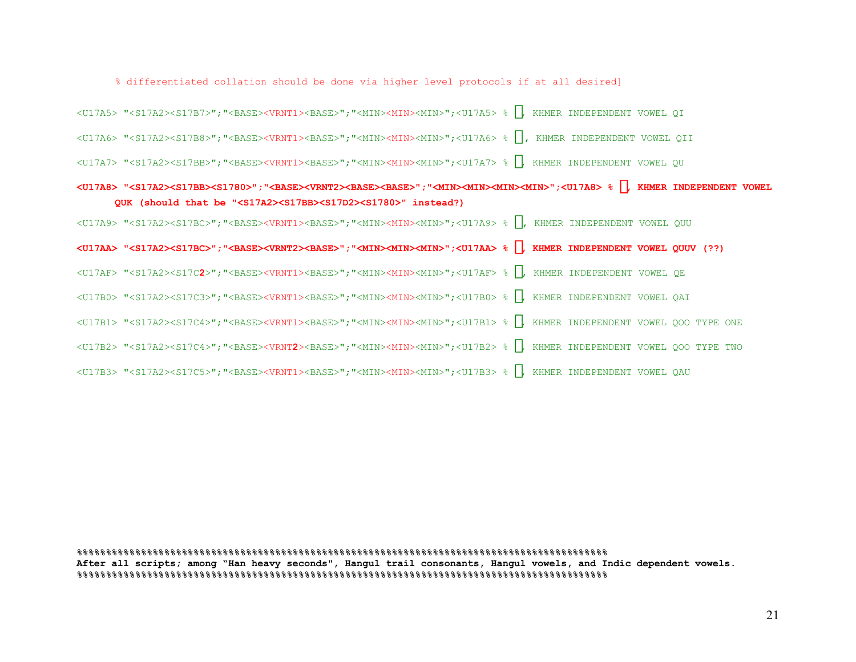% differentiated collation should be done via higher level protocols if at all desired]

<U17A5> "<S17A2><S17B7>";"<BASE><VRNT1><BASE>";"<MIN><MIN><MIN>";<U17A5> % , KHMER INDEPENDENT VOWEL QI

<U17A6> "<S17A2><S17B8>";"<BASE><VRNT1><BASE>";"<MIN><MIN><MIN>";<U17A6> % , KHMER INDEPENDENT VOWEL QII

<U17A7> "<S17A2><S17BB>";"<BASE><VRNT1><BASE>";"<MIN><MIN><MIN>";<U17A7> % , KHMER INDEPENDENT VOWEL QU

# **<U17A8> "<S17A2><S17BB><S1780>";"<BASE><VRNT2><BASE><BASE>";"<MIN><MIN><MIN><MIN>";<U17A8> %** ឨ**, KHMER INDEPENDENT VOWEL QUK (should that be "<S17A2><S17BB><S17D2><S1780>" instead?)**

<U17A9> "<S17A2><S17BC>";"<BASE><VRNT1><BASE>";"<MIN><MIN><MIN>";<U17A9> % , KHMER INDEPENDENT VOWEL QUU

**<U17AA> "<S17A2><S17BC>";"<BASE><VRNT2><BASE>";"<MIN><MIN><MIN>";<U17AA> %** ឪ**, KHMER INDEPENDENT VOWEL QUUV (??)** 

<U17AF> "<S17A2><S17C**2**>";"<BASE><VRNT1><BASE>";"<MIN><MIN><MIN>";<U17AF> % , KHMER INDEPENDENT VOWEL QE

<U17B0> "<S17A2><S17C3>";"<BASE><VRNT1><BASE>";"<MIN><MIN><MIN>";<U17B0> % , KHMER INDEPENDENT VOWEL QAI

<U17B1> "<S17A2><S17C4>";"<BASE><VRNT1><BASE>";"<MIN><MIN><MIN>";<U17B1> % , KHMER INDEPENDENT VOWEL QOO TYPE ONE

<U17B2> "<S17A2><S17C4>";"<BASE><VRNT**2**><BASE>";"<MIN><MIN><MIN>";<U17B2> % , KHMER INDEPENDENT VOWEL QOO TYPE TWO

<U17B3> "<S17A2><S17C5>";"<BASE><VRNT1><BASE>";"<MIN><MIN><MIN>";<U17B3> % , KHMER INDEPENDENT VOWEL QAU

**%%%%%%%%%%%%%%%%%%%%%%%%%%%%%%%%%%%%%%%%%%%%%%%%%%%%%%%%%%%%%%%%%%%%%%%%%%%%%%%%%%%%%%%%%%% After all scripts; among "Han heavy seconds", Hangul trail consonants, Hangul vowels, and Indic dependent vowels. %%%%%%%%%%%%%%%%%%%%%%%%%%%%%%%%%%%%%%%%%%%%%%%%%%%%%%%%%%%%%%%%%%%%%%%%%%%%%%%%%%%%%%%%%%%**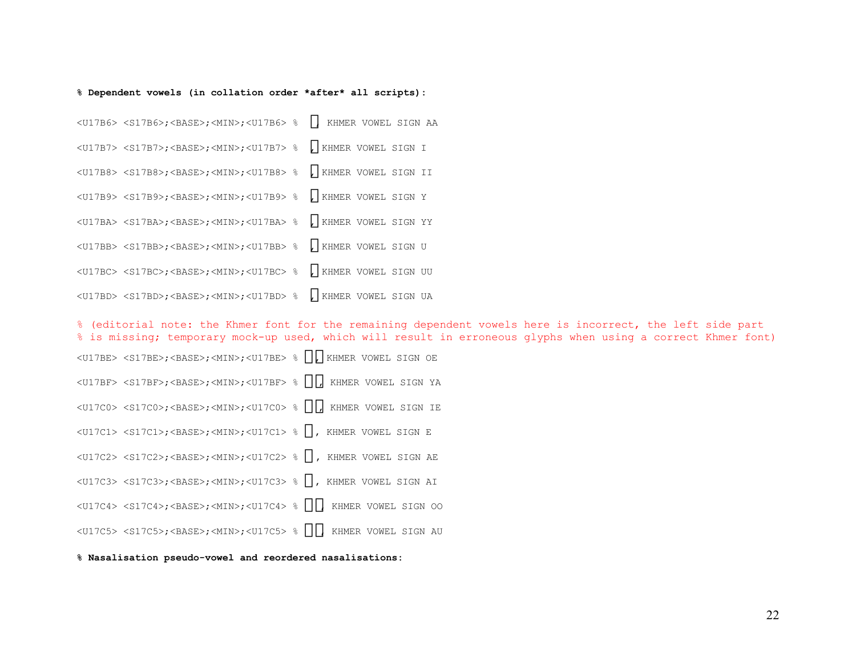#### **% Dependent vowels (in collation order \*after\* all scripts):**

<U17B6> <S17B6>;<BASE>;<MIN>;<U17B6> % , KHMER VOWEL SIGN AA <U17B7> <S17B7>;<BASE>;<MIN>;<U17B7> % , KHMER VOWEL SIGN I <U17B8> <S17B8>;<BASE>;<MIN>;<U17B8> % , KHMER VOWEL SIGN II <U17B9> <S17B9>;<BASE>;<MIN>;<U17B9> % , KHMER VOWEL SIGN Y <U17BA> <S17BA>;<BASE>;<MIN>;<U17BA> % , KHMER VOWEL SIGN YY <U17BB> <S17BB>;<BASE>;<MIN>;<U17BB> % , KHMER VOWEL SIGN U <U17BC> <S17BC>;<BASE>;<MIN>;<U17BC> % , KHMER VOWEL SIGN UU <U17BD> <S17BD>;<BASE>;<MIN>;<U17BD> % , KHMER VOWEL SIGN UA

% (editorial note: the Khmer font for the remaining dependent vowels here is incorrect, the left side part % is missing; temporary mock-up used, which will result in erroneous glyphs when using a correct Khmer font)

<U17BE> <S17BE>;<BASE>;<MIN>;<U17BE> % , KHMER VOWEL SIGN OE <U17BF> <S17BF>;<BASE>;<MIN>;<U17BF> % , KHMER VOWEL SIGN YA <U17C0> <S17C0>;<BASE>;<MIN>;<U17C0> % , KHMER VOWEL SIGN IE <U17C1> <S17C1>;<BASE>;<MIN>;<U17C1> % , KHMER VOWEL SIGN E <U17C2> <S17C2>;<BASE>;<MIN>;<U17C2> % , KHMER VOWEL SIGN AE <U17C3> <S17C3>;<BASE>;<MIN>;<U17C3> % , KHMER VOWEL SIGN AI <U17C4> <S17C4>;<BASE>;<MIN>;<U17C4> % , KHMER VOWEL SIGN OO <U17C5> <S17C5>;<BASE>;<MIN>;<U17C5> % , KHMER VOWEL SIGN AU

#### **% Nasalisation pseudo-vowel and reordered nasalisations:**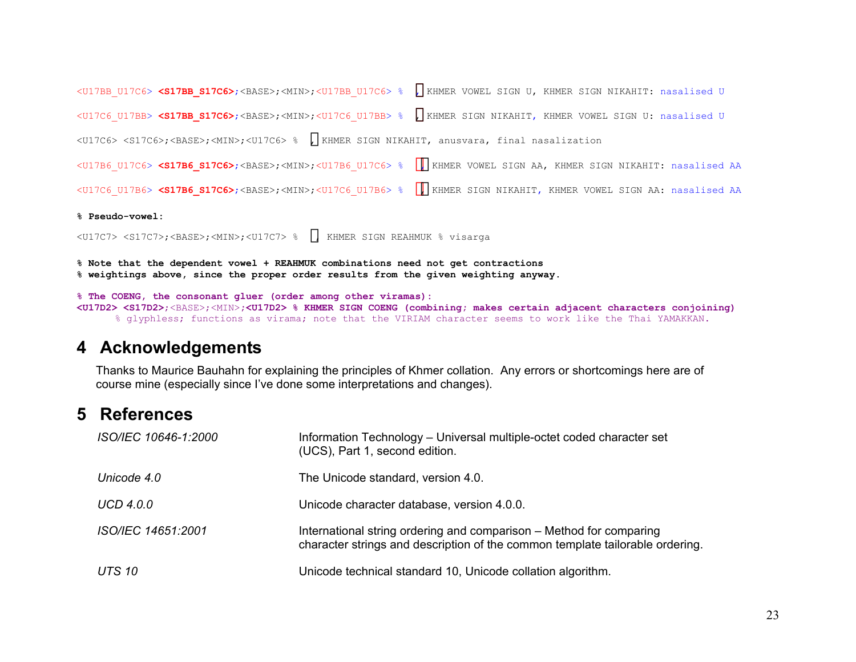<U17BB\_U17C6> **<S17BB\_S17C6>**;<BASE>;<MIN>;<U17BB\_U17C6> % , KHMER VOWEL SIGN U, KHMER SIGN NIKAHIT: nasalised U <U17C6\_U17BB> **<S17BB\_S17C6>**;<BASE>;<MIN>;<U17C6\_U17BB> % , KHMER SIGN NIKAHIT, KHMER VOWEL SIGN U: nasalised U <U17C6> <S17C6>;<BASE>;<MIN>;<U17C6> % , KHMER SIGN NIKAHIT, anusvara, final nasalization <U17B6\_U17C6> **<S17B6\_S17C6>**;<BASE>;<MIN>;<U17B6\_U17C6> % , KHMER VOWEL SIGN AA, KHMER SIGN NIKAHIT: nasalised AA <U17C6\_U17B6> **<S17B6\_S17C6>**;<BASE>;<MIN>;<U17C6\_U17B6> % , KHMER SIGN NIKAHIT, KHMER VOWEL SIGN AA: nasalised AA

**% Pseudo-vowel:** 

<U17C7> <S17C7>;<BASE>;<MIN>;<U17C7> % , KHMER SIGN REAHMUK % visarga

**% Note that the dependent vowel + REAHMUK combinations need not get contractions % weightings above, since the proper order results from the given weighting anyway.** 

### **% The COENG, the consonant gluer (order among other viramas): <U17D2> <S17D2>**;<BASE>;<MIN>**;<U17D2> % KHMER SIGN COENG (combining; makes certain adjacent characters conjoining)**

% glyphless; functions as virama; note that the VIRIAM character seems to work like the Thai YAMAKKAN.

# **4 Acknowledgements**

Thanks to Maurice Bauhahn for explaining the principles of Khmer collation. Any errors or shortcomings here are of course mine (especially since I've done some interpretations and changes).

# **5 References**

| ISO/IEC 10646-1:2000 | Information Technology - Universal multiple-octet coded character set<br>(UCS), Part 1, second edition.                                              |
|----------------------|------------------------------------------------------------------------------------------------------------------------------------------------------|
| Unicode 4.0          | The Unicode standard, version 4.0.                                                                                                                   |
| UCD 4.0.0            | Unicode character database, version 4.0.0.                                                                                                           |
| ISO/IEC 14651:2001   | International string ordering and comparison - Method for comparing<br>character strings and description of the common template tailorable ordering. |
| <b>UTS 10</b>        | Unicode technical standard 10, Unicode collation algorithm.                                                                                          |